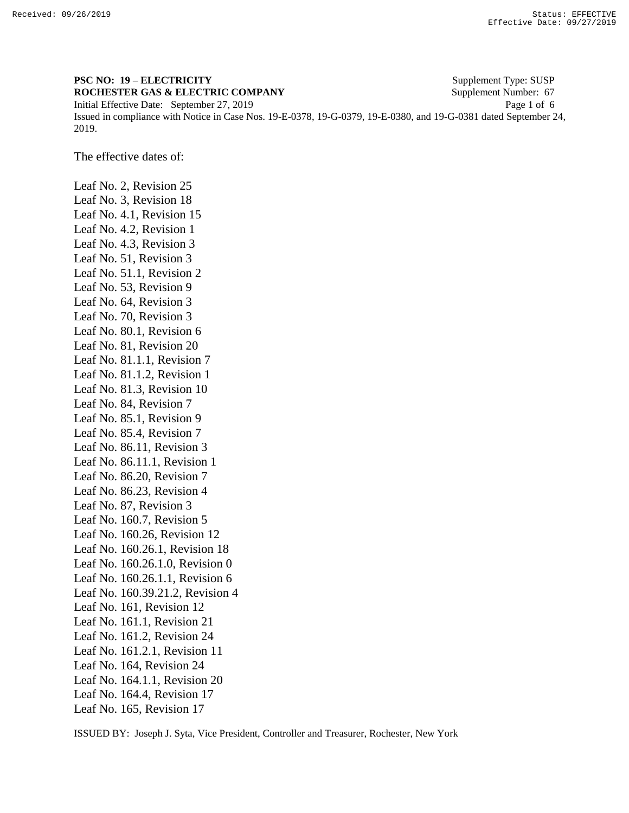2019.

## **PSC NO: 19 – ELECTRICITY** Supplement Type: SUSP **ROCHESTER GAS & ELECTRIC COMPANY** Supplement Number: 67 Initial Effective Date: September 27, 2019 Page 1 of 6

Issued in compliance with Notice in Case Nos. 19-E-0378, 19-G-0379, 19-E-0380, and 19-G-0381 dated September 24,

The effective dates of:

Leaf No. 2, Revision 25 Leaf No. 3, Revision 18 Leaf No. 4.1, Revision 15 Leaf No. 4.2, Revision 1 Leaf No. 4.3, Revision 3 Leaf No. 51, Revision 3 Leaf No. 51.1, Revision 2 Leaf No. 53, Revision 9 Leaf No. 64, Revision 3 Leaf No. 70, Revision 3 Leaf No. 80.1, Revision 6 Leaf No. 81, Revision 20 Leaf No. 81.1.1, Revision 7 Leaf No. 81.1.2, Revision 1 Leaf No. 81.3, Revision 10 Leaf No. 84, Revision 7 Leaf No. 85.1, Revision 9 Leaf No. 85.4, Revision 7 Leaf No. 86.11, Revision 3 Leaf No. 86.11.1, Revision 1 Leaf No. 86.20, Revision 7 Leaf No. 86.23, Revision 4 Leaf No. 87, Revision 3 Leaf No. 160.7, Revision 5 Leaf No. 160.26, Revision 12 Leaf No. 160.26.1, Revision 18 Leaf No. 160.26.1.0, Revision 0 Leaf No. 160.26.1.1, Revision 6 Leaf No. 160.39.21.2, Revision 4 Leaf No. 161, Revision 12 Leaf No. 161.1, Revision 21 Leaf No. 161.2, Revision 24 Leaf No. 161.2.1, Revision 11 Leaf No. 164, Revision 24 Leaf No. 164.1.1, Revision 20 Leaf No. 164.4, Revision 17 Leaf No. 165, Revision 17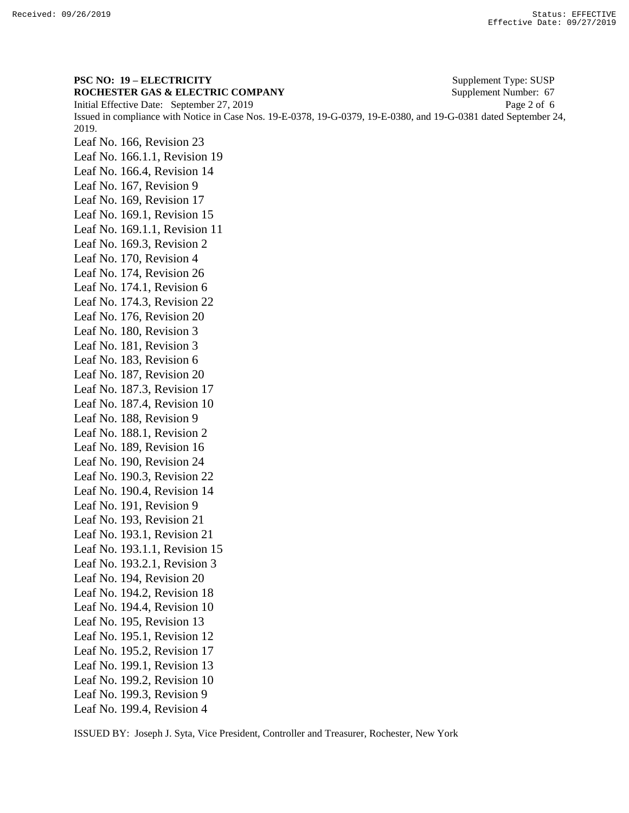**PSC NO: 19 – ELECTRICITY** Supplement Type: SUSP **ROCHESTER GAS & ELECTRIC COMPANY** Supplement Number: 67 Initial Effective Date: September 27, 2019 Page 2 of 6 Issued in compliance with Notice in Case Nos. 19-E-0378, 19-G-0379, 19-E-0380, and 19-G-0381 dated September 24, 2019. Leaf No. 166, Revision 23 Leaf No. 166.1.1, Revision 19 Leaf No. 166.4, Revision 14 Leaf No. 167, Revision 9 Leaf No. 169, Revision 17 Leaf No. 169.1, Revision 15 Leaf No. 169.1.1, Revision 11 Leaf No. 169.3, Revision 2 Leaf No. 170, Revision 4 Leaf No. 174, Revision 26 Leaf No. 174.1, Revision 6 Leaf No. 174.3, Revision 22 Leaf No. 176, Revision 20 Leaf No. 180, Revision 3 Leaf No. 181, Revision 3 Leaf No. 183, Revision 6 Leaf No. 187, Revision 20 Leaf No. 187.3, Revision 17 Leaf No. 187.4, Revision 10 Leaf No. 188, Revision 9 Leaf No. 188.1, Revision 2 Leaf No. 189, Revision 16 Leaf No. 190, Revision 24 Leaf No. 190.3, Revision 22 Leaf No. 190.4, Revision 14 Leaf No. 191, Revision 9 Leaf No. 193, Revision 21 Leaf No. 193.1, Revision 21 Leaf No. 193.1.1, Revision 15 Leaf No. 193.2.1, Revision 3 Leaf No. 194, Revision 20 Leaf No. 194.2, Revision 18 Leaf No. 194.4, Revision 10 Leaf No. 195, Revision 13 Leaf No. 195.1, Revision 12 Leaf No. 195.2, Revision 17 Leaf No. 199.1, Revision 13 Leaf No. 199.2, Revision 10 Leaf No. 199.3, Revision 9 Leaf No. 199.4, Revision 4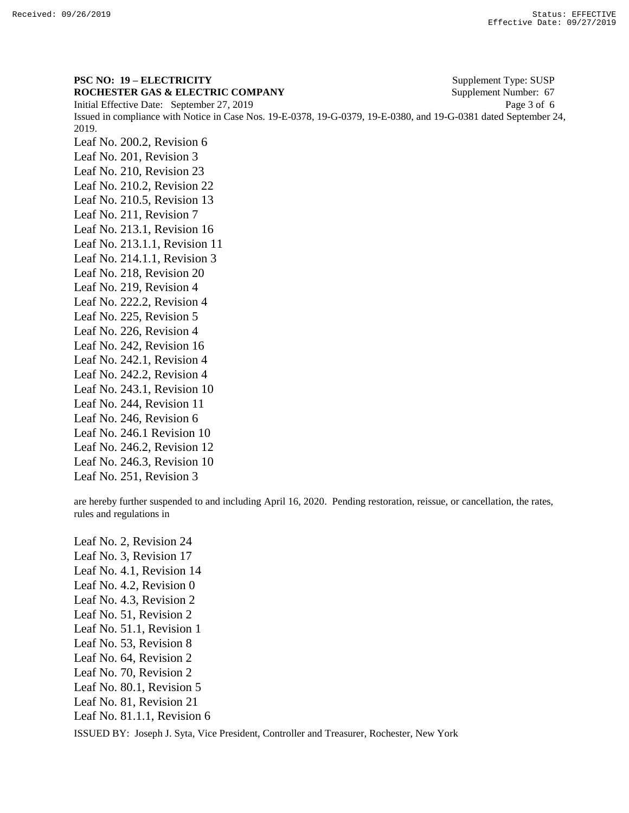**PSC NO: 19 – ELECTRICITY** Supplement Type: SUSP **ROCHESTER GAS & ELECTRIC COMPANY** Supplement Number: 67 Initial Effective Date: September 27, 2019 Page 3 of 6 Issued in compliance with Notice in Case Nos. 19-E-0378, 19-G-0379, 19-E-0380, and 19-G-0381 dated September 24, 2019. Leaf No. 200.2, Revision 6 Leaf No. 201, Revision 3 Leaf No. 210, Revision 23 Leaf No. 210.2, Revision 22 Leaf No. 210.5, Revision 13 Leaf No. 211, Revision 7 Leaf No. 213.1, Revision 16 Leaf No. 213.1.1, Revision 11 Leaf No. 214.1.1, Revision 3 Leaf No. 218, Revision 20 Leaf No. 219, Revision 4 Leaf No. 222.2, Revision 4 Leaf No. 225, Revision 5 Leaf No. 226, Revision 4 Leaf No. 242, Revision 16 Leaf No. 242.1, Revision 4 Leaf No. 242.2, Revision 4 Leaf No. 243.1, Revision 10 Leaf No. 244, Revision 11 Leaf No. 246, Revision 6 Leaf No. 246.1 Revision 10 Leaf No. 246.2, Revision 12 Leaf No. 246.3, Revision 10

Leaf No. 251, Revision 3

are hereby further suspended to and including April 16, 2020. Pending restoration, reissue, or cancellation, the rates, rules and regulations in

Leaf No. 2, Revision 24 Leaf No. 3, Revision 17 Leaf No. 4.1, Revision 14 Leaf No. 4.2, Revision 0 Leaf No. 4.3, Revision 2 Leaf No. 51, Revision 2 Leaf No. 51.1, Revision 1 Leaf No. 53, Revision 8 Leaf No. 64, Revision 2 Leaf No. 70, Revision 2 Leaf No. 80.1, Revision 5 Leaf No. 81, Revision 21 Leaf No. 81.1.1, Revision 6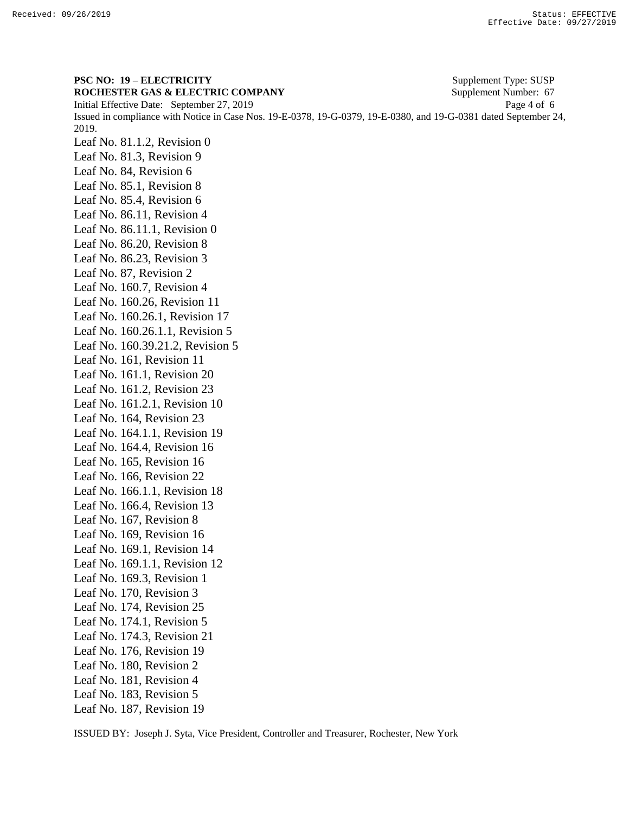**PSC NO: 19 – ELECTRICITY** Supplement Type: SUSP **ROCHESTER GAS & ELECTRIC COMPANY** Supplement Number: 67 Initial Effective Date: September 27, 2019 Page 4 of 6 Issued in compliance with Notice in Case Nos. 19-E-0378, 19-G-0379, 19-E-0380, and 19-G-0381 dated September 24, 2019. Leaf No. 81.1.2, Revision 0 Leaf No. 81.3, Revision 9 Leaf No. 84, Revision 6 Leaf No. 85.1, Revision 8 Leaf No. 85.4, Revision 6 Leaf No. 86.11, Revision 4 Leaf No. 86.11.1, Revision 0 Leaf No. 86.20, Revision 8 Leaf No. 86.23, Revision 3 Leaf No. 87, Revision 2 Leaf No. 160.7, Revision 4 Leaf No. 160.26, Revision 11 Leaf No. 160.26.1, Revision 17 Leaf No. 160.26.1.1, Revision 5 Leaf No. 160.39.21.2, Revision 5 Leaf No. 161, Revision 11 Leaf No. 161.1, Revision 20 Leaf No. 161.2, Revision 23 Leaf No. 161.2.1, Revision 10 Leaf No. 164, Revision 23 Leaf No. 164.1.1, Revision 19 Leaf No. 164.4, Revision 16 Leaf No. 165, Revision 16 Leaf No. 166, Revision 22 Leaf No. 166.1.1, Revision 18 Leaf No. 166.4, Revision 13 Leaf No. 167, Revision 8 Leaf No. 169, Revision 16 Leaf No. 169.1, Revision 14 Leaf No. 169.1.1, Revision 12 Leaf No. 169.3, Revision 1 Leaf No. 170, Revision 3 Leaf No. 174, Revision 25 Leaf No. 174.1, Revision 5 Leaf No. 174.3, Revision 21 Leaf No. 176, Revision 19 Leaf No. 180, Revision 2 Leaf No. 181, Revision 4 Leaf No. 183, Revision 5 Leaf No. 187, Revision 19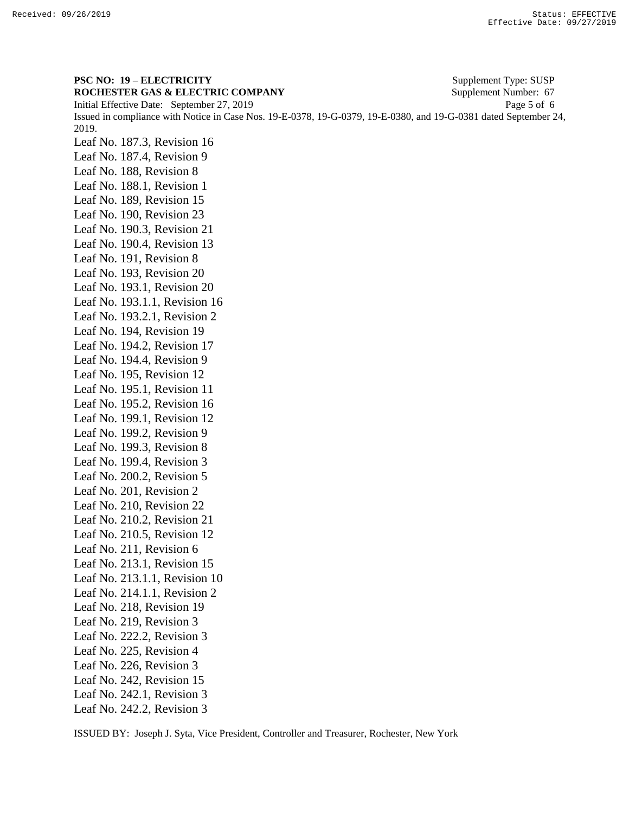**PSC NO: 19 – ELECTRICITY** Supplement Type: SUSP **ROCHESTER GAS & ELECTRIC COMPANY** Supplement Number: 67 Initial Effective Date: September 27, 2019 Page 5 of 6 Issued in compliance with Notice in Case Nos. 19-E-0378, 19-G-0379, 19-E-0380, and 19-G-0381 dated September 24, 2019. Leaf No. 187.3, Revision 16 Leaf No. 187.4, Revision 9 Leaf No. 188, Revision 8 Leaf No. 188.1, Revision 1 Leaf No. 189, Revision 15 Leaf No. 190, Revision 23 Leaf No. 190.3, Revision 21 Leaf No. 190.4, Revision 13 Leaf No. 191, Revision 8 Leaf No. 193, Revision 20 Leaf No. 193.1, Revision 20 Leaf No. 193.1.1, Revision 16 Leaf No. 193.2.1, Revision 2 Leaf No. 194, Revision 19 Leaf No. 194.2, Revision 17 Leaf No. 194.4, Revision 9 Leaf No. 195, Revision 12 Leaf No. 195.1, Revision 11 Leaf No. 195.2, Revision 16 Leaf No. 199.1, Revision 12 Leaf No. 199.2, Revision 9 Leaf No. 199.3, Revision 8 Leaf No. 199.4, Revision 3 Leaf No. 200.2, Revision 5 Leaf No. 201, Revision 2 Leaf No. 210, Revision 22 Leaf No. 210.2, Revision 21 Leaf No. 210.5, Revision 12 Leaf No. 211, Revision 6 Leaf No. 213.1, Revision 15 Leaf No. 213.1.1, Revision 10 Leaf No. 214.1.1, Revision 2 Leaf No. 218, Revision 19 Leaf No. 219, Revision 3 Leaf No. 222.2, Revision 3 Leaf No. 225, Revision 4 Leaf No. 226, Revision 3 Leaf No. 242, Revision 15 Leaf No. 242.1, Revision 3 Leaf No. 242.2, Revision 3